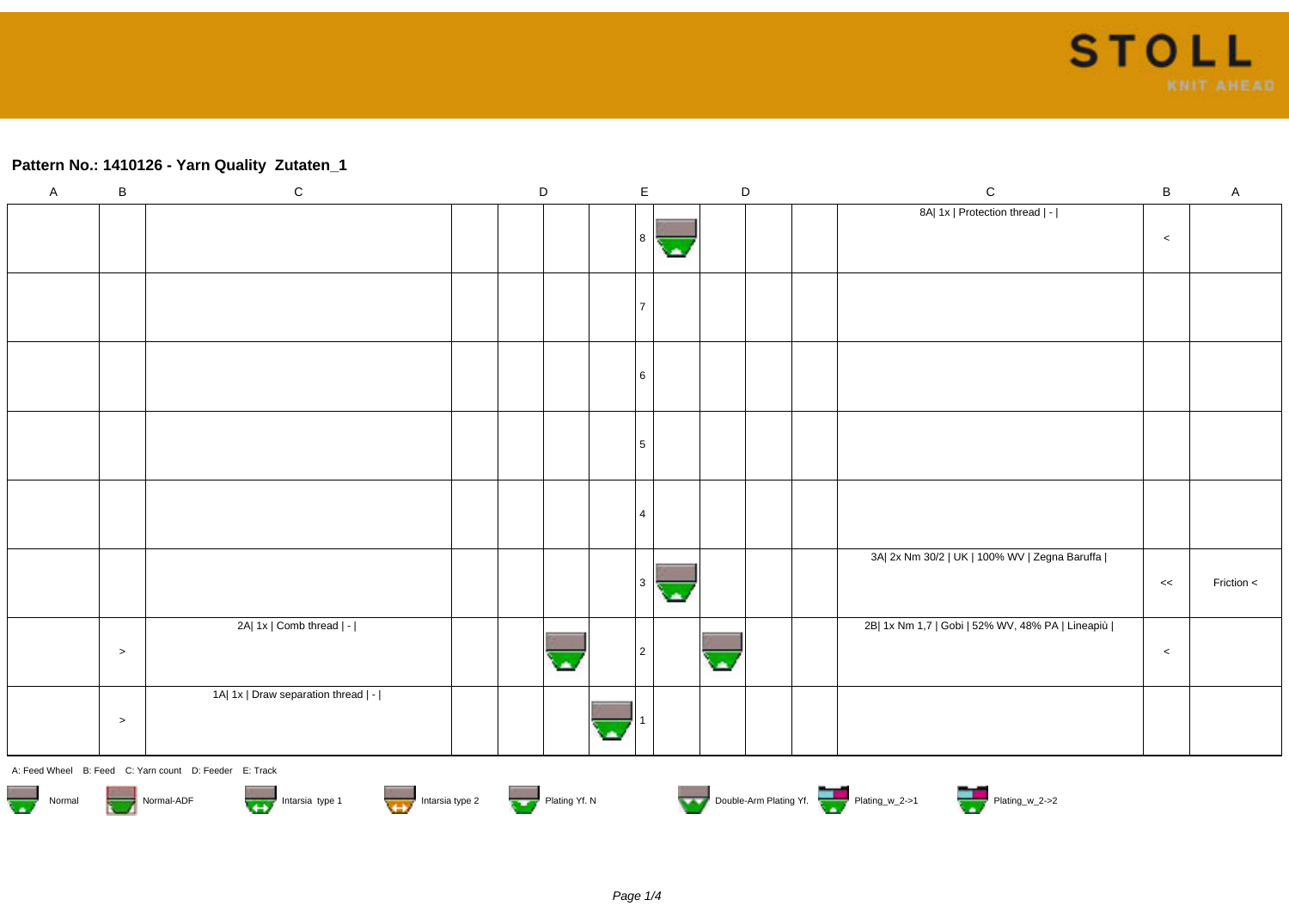## **Pattern No.: 1410126 - Yarn Quality Zutaten\_1**

| $\mathsf{A}$            | $\, {\bf B}$ | $\mathsf C$                                            | $\mathsf D$ |               | $\mathsf E$ |     | $\mathsf D$ | $\mathsf C$                                      | $\sf B$ | $\mathsf A$ |
|-------------------------|--------------|--------------------------------------------------------|-------------|---------------|-------------|-----|-------------|--------------------------------------------------|---------|-------------|
|                         |              |                                                        |             |               |             |     |             | 8A  1x   Protection thread   -                   |         |             |
|                         |              |                                                        |             |               | 8           | ×   |             |                                                  | $\,<\,$ |             |
|                         |              |                                                        |             |               |             |     |             |                                                  |         |             |
|                         |              |                                                        |             |               | 7           |     |             |                                                  |         |             |
|                         |              |                                                        |             |               |             |     |             |                                                  |         |             |
|                         |              |                                                        |             |               | 6           |     |             |                                                  |         |             |
|                         |              |                                                        |             |               |             |     |             |                                                  |         |             |
|                         |              |                                                        |             |               |             |     |             |                                                  |         |             |
|                         |              |                                                        |             |               | 5           |     |             |                                                  |         |             |
|                         |              |                                                        |             |               |             |     |             |                                                  |         |             |
|                         |              |                                                        |             |               | 4           |     |             |                                                  |         |             |
|                         |              |                                                        |             |               |             |     |             | 3A  2x Nm 30/2   UK   100% WV   Zegna Baruffa    |         |             |
|                         |              |                                                        |             |               | $\vert$ 3   | СA. |             |                                                  | <<      | Friction <  |
|                         |              | 2A  1x   Comb thread   -                               |             |               |             |     |             | 2B  1x Nm 1,7   Gobi   52% WV, 48% PA   Lineapiù |         |             |
|                         | $\,>$        |                                                        |             |               | $\sqrt{2}$  |     |             |                                                  | $\,<$   |             |
|                         |              | 1A  1x   Draw separation thread   -                    |             |               |             |     |             |                                                  |         |             |
|                         | $\geq$       |                                                        |             |               |             |     |             |                                                  |         |             |
|                         |              | A: Feed Wheel B: Feed C: Yarn count D: Feeder E: Track |             |               |             |     |             |                                                  |         |             |
| $\frac{1}{2}$<br>Normal |              | Intarsia type 1<br>Intarsia type 2<br>Normal-ADF       |             | Plating Yf. N |             |     |             | Double-Arm Plating Yf.                           |         |             |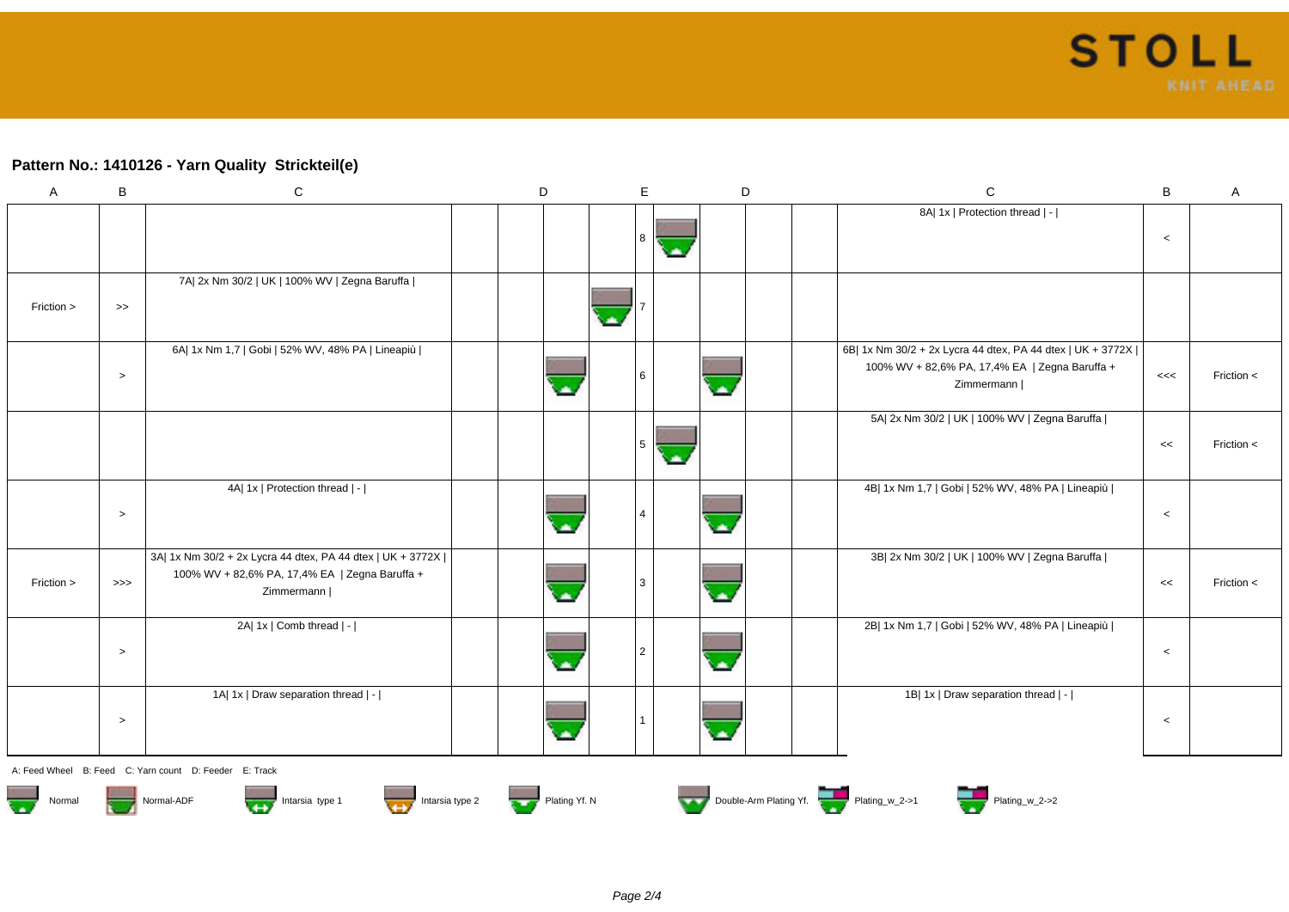## **Pattern No.: 1410126 - Yarn Quality Strickteil(e)**

| $\mathsf{A}$ | B                | $\mathbf C$                                                                                                                  | D |               | Е        |    | D | $\mathbf C$                                                                                                                  | B       | A            |
|--------------|------------------|------------------------------------------------------------------------------------------------------------------------------|---|---------------|----------|----|---|------------------------------------------------------------------------------------------------------------------------------|---------|--------------|
|              |                  |                                                                                                                              |   |               | <b>8</b> |    |   | 8A  1x   Protection thread   -                                                                                               | $\,<$   |              |
| Friction >   | $\boldsymbol{>}$ | 7A  2x Nm 30/2   UK   100% WV   Zegna Baruffa                                                                                |   |               |          |    |   |                                                                                                                              |         |              |
|              | $\geq$           | 6A  1x Nm 1,7   Gobi   52% WV, 48% PA   Lineapiù                                                                             |   |               |          |    | ٠ | 6B  1x Nm 30/2 + 2x Lycra 44 dtex, PA 44 dtex   UK + 3772X  <br>100% WV + 82,6% PA, 17,4% EA   Zegna Baruffa +<br>Zimmermann | <<      | Friction $<$ |
|              |                  |                                                                                                                              |   |               | .5       | a. |   | 5A  2x Nm 30/2   UK   100% WV   Zegna Baruffa                                                                                | <<      | Friction $<$ |
|              | $\,>$            | 4A  1x   Protection thread   -                                                                                               |   |               |          |    |   | 4B  1x Nm 1,7   Gobi   52% WV, 48% PA   Lineapiù                                                                             | $\,<$   |              |
| Friction >   | $>>>$            | 3A  1x Nm 30/2 + 2x Lycra 44 dtex, PA 44 dtex   UK + 3772X  <br>100% WV + 82,6% PA, 17,4% EA   Zegna Baruffa +<br>Zimmermann |   |               |          |    |   | 3B  2x Nm 30/2   UK   100% WV   Zegna Baruffa                                                                                | <<      | Friction <   |
|              | $\,>$            | 2A  1x   Comb thread   -                                                                                                     |   |               |          |    |   | 2B  1x Nm 1,7   Gobi   52% WV, 48% PA   Lineapiù                                                                             | $\,<$   |              |
|              | $\,>$            | 1A  1x   Draw separation thread   -                                                                                          |   |               |          |    |   | 1B  1x   Draw separation thread   -                                                                                          | $\,<\,$ |              |
|              |                  | A: Feed Wheel B: Feed C: Yarn count D: Feeder E: Track                                                                       |   |               |          |    |   |                                                                                                                              |         |              |
| Normal       |                  | Normal-ADF<br>Intarsia type 1<br>Intarsia type 2                                                                             |   | Plating Yf. N |          |    |   | Double-Arm Plating Yf.                                                                                                       |         |              |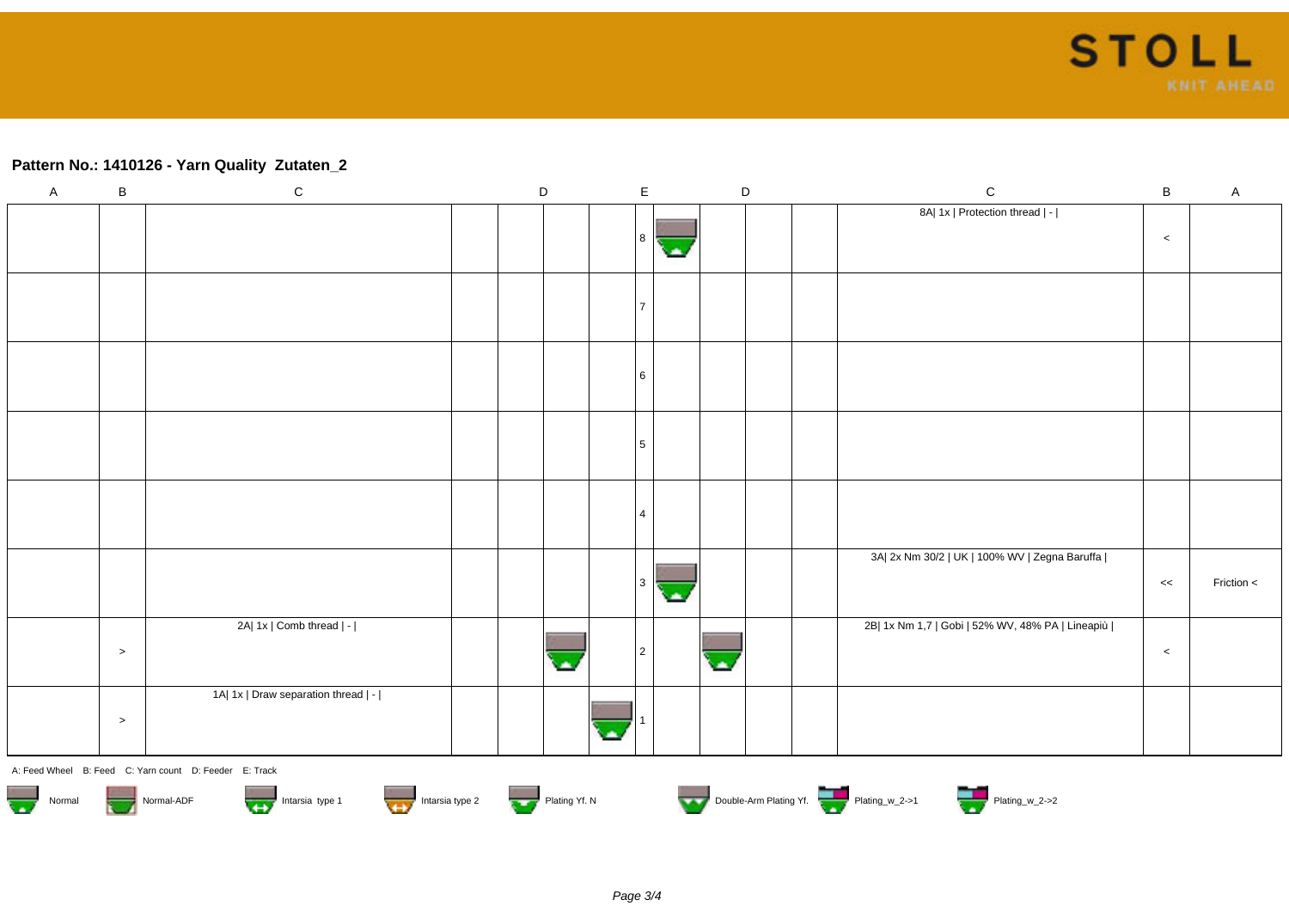## **Pattern No.: 1410126 - Yarn Quality Zutaten\_2**

| $\mathsf{A}$ | $\, {\bf B}$ | ${\rm C}$                                              | $\mathsf D$   |   | $\mathsf E$    | $\mathsf D$      |  | ${\bf C}$                                        | $\, {\bf B}$ | $\mathsf{A}$ |
|--------------|--------------|--------------------------------------------------------|---------------|---|----------------|------------------|--|--------------------------------------------------|--------------|--------------|
|              |              |                                                        |               |   |                |                  |  | 8A  1x   Protection thread   -                   |              |              |
|              |              |                                                        |               |   | 8              |                  |  |                                                  | $\,<$        |              |
|              |              |                                                        |               |   | <b>Sta</b>     |                  |  |                                                  |              |              |
|              |              |                                                        |               |   |                |                  |  |                                                  |              |              |
|              |              |                                                        |               |   | $\overline{7}$ |                  |  |                                                  |              |              |
|              |              |                                                        |               |   |                |                  |  |                                                  |              |              |
|              |              |                                                        |               |   |                |                  |  |                                                  |              |              |
|              |              |                                                        |               |   | 6              |                  |  |                                                  |              |              |
|              |              |                                                        |               |   |                |                  |  |                                                  |              |              |
|              |              |                                                        |               |   |                |                  |  |                                                  |              |              |
|              |              |                                                        |               |   | 5              |                  |  |                                                  |              |              |
|              |              |                                                        |               |   |                |                  |  |                                                  |              |              |
|              |              |                                                        |               |   |                |                  |  |                                                  |              |              |
|              |              |                                                        |               |   | $\overline{4}$ |                  |  |                                                  |              |              |
|              |              |                                                        |               |   |                |                  |  |                                                  |              |              |
|              |              |                                                        |               |   |                |                  |  | 3A  2x Nm 30/2   UK   100% WV   Zegna Baruffa    |              |              |
|              |              |                                                        |               |   | l 3<br>СA,     |                  |  |                                                  | <<           | Friction <   |
|              |              |                                                        |               |   |                |                  |  |                                                  |              |              |
|              |              | 2A  1x   Comb thread   -                               |               |   |                |                  |  | 2B  1x Nm 1,7   Gobi   52% WV, 48% PA   Lineapiù |              |              |
|              | $\geq$       |                                                        |               |   | $\sqrt{2}$     | $\blacktriangle$ |  |                                                  | $\,<$        |              |
|              |              |                                                        |               |   |                |                  |  |                                                  |              |              |
|              |              | 1A  1x   Draw separation thread   -                    |               |   |                |                  |  |                                                  |              |              |
|              | $\, > \,$    |                                                        |               |   |                |                  |  |                                                  |              |              |
|              |              |                                                        |               | ٠ |                |                  |  |                                                  |              |              |
|              |              | A: Feed Wheel B: Feed C: Yarn count D: Feeder E: Track |               |   |                |                  |  |                                                  |              |              |
|              |              |                                                        |               |   |                |                  |  | Double-Arm Plating Yf.                           |              |              |
| Normal       |              | Intarsia type 2<br>Intarsia type 1<br>Normal-ADF       | Plating Yf. N |   |                |                  |  |                                                  |              |              |